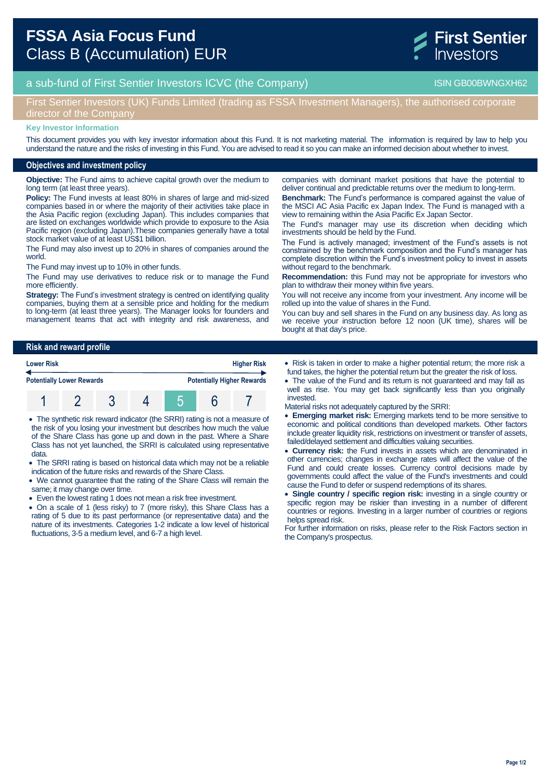

# a sub-fund of First Sentier Investors ICVC (the Company) and the Company ISIN GB00BWNGXH62

# First Sentier Investors (UK) Funds Limited (trading as FSSA Investment Managers), the authorised corporate director of the Company

#### **Key Investor Information**

This document provides you with key investor information about this Fund. It is not marketing material. The information is required by law to help you understand the nature and the risks of investing in this Fund. You are advised to read it so you can make an informed decision about whether to invest.

### **Objectives and investment policy**

**Objective:** The Fund aims to achieve capital growth over the medium to long term (at least three years).

**Policy:** The Fund invests at least 80% in shares of large and mid-sized companies based in or where the majority of their activities take place in the Asia Pacific region (excluding Japan). This includes companies that are listed on exchanges worldwide which provide to exposure to the Asia Pacific region (excluding Japan).These companies generally have a total stock market value of at least US\$1 billion.

The Fund may also invest up to 20% in shares of companies around the world.

The Fund may invest up to 10% in other funds.

The Fund may use derivatives to reduce risk or to manage the Fund more efficiently

**Strategy:** The Fund's investment strategy is centred on identifying quality companies, buying them at a sensible price and holding for the medium to long-term (at least three years). The Manager looks for founders and management teams that act with integrity and risk awareness, and

deliver continual and predictable returns over the medium to long-term. **Benchmark:** The Fund's performance is compared against the value of the MSCI AC Asia Pacific ex Japan Index. The Fund is managed with a view to remaining within the Asia Pacific Ex Japan Sector.

companies with dominant market positions that have the potential to

The Fund's manager may use its discretion when deciding which investments should be held by the Fund.

The Fund is actively managed; investment of the Fund's assets is not constrained by the benchmark composition and the Fund's manager has complete discretion within the Fund's investment policy to invest in assets without regard to the benchmark.

**Recommendation:** this Fund may not be appropriate for investors who plan to withdraw their money within five years.

You will not receive any income from your investment. Any income will be rolled up into the value of shares in the Fund.

You can buy and sell shares in the Fund on any business day. As long as we receive your instruction before 12 noon (UK time), shares will be bought at that day's price.

### **Risk and reward profile**



- The synthetic risk reward indicator (the SRRI) rating is not a measure of the risk of you losing your investment but describes how much the value of the Share Class has gone up and down in the past. Where a Share Class has not yet launched, the SRRI is calculated using representative data.
- The SRRI rating is based on historical data which may not be a reliable indication of the future risks and rewards of the Share Class.
- We cannot guarantee that the rating of the Share Class will remain the same; it may change over time.
- Even the lowest rating 1 does not mean a risk free investment.
- On a scale of 1 (less risky) to 7 (more risky), this Share Class has a rating of 5 due to its past performance (or representative data) and the nature of its investments. Categories 1-2 indicate a low level of historical fluctuations, 3-5 a medium level, and 6-7 a high level.
- Risk is taken in order to make a higher potential return; the more risk a fund takes, the higher the potential return but the greater the risk of loss.
- The value of the Fund and its return is not guaranteed and may fall as well as rise. You may get back significantly less than you originally invested.
- Material risks not adequately captured by the SRRI:
- **Emerging market risk:** Emerging markets tend to be more sensitive to economic and political conditions than developed markets. Other factors include greater liquidity risk, restrictions on investment or transfer of assets, failed/delayed settlement and difficulties valuing securities.
- **Currency risk:** the Fund invests in assets which are denominated in other currencies; changes in exchange rates will affect the value of the Fund and could create losses. Currency control decisions made by governments could affect the value of the Fund's investments and could cause the Fund to defer or suspend redemptions of its shares.
- **Single country / specific region risk:** investing in a single country or specific region may be riskier than investing in a number of different countries or regions. Investing in a larger number of countries or regions helps spread risk.

For further information on risks, please refer to the Risk Factors section in the Company's prospectus.